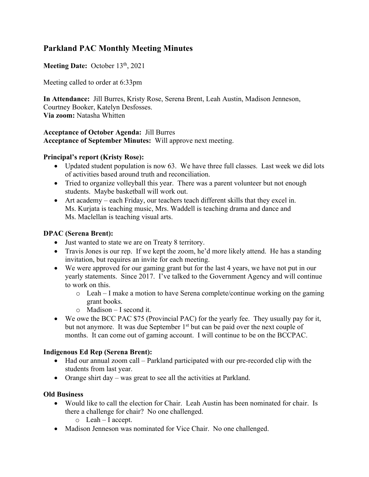# **Parkland PAC Monthly Meeting Minutes**

## Meeting Date: October 13<sup>th</sup>, 2021

Meeting called to order at 6:33pm

**In Attendance:** Jill Burres, Kristy Rose, Serena Brent, Leah Austin, Madison Jenneson, Courtney Booker, Katelyn Desfosses. **Via zoom:** Natasha Whitten

#### **Acceptance of October Agenda:** Jill Burres **Acceptance of September Minutes:** Will approve next meeting.

#### **Principal's report (Kristy Rose):**

- Updated student population is now 63. We have three full classes. Last week we did lots of activities based around truth and reconciliation.
- Tried to organize volleyball this year. There was a parent volunteer but not enough students. Maybe basketball will work out.
- Art academy each Friday, our teachers teach different skills that they excel in. Ms. Kurjata is teaching music, Mrs. Waddell is teaching drama and dance and Ms. Maclellan is teaching visual arts.

### **DPAC (Serena Brent):**

- Just wanted to state we are on Treaty 8 territory.
- Travis Jones is our rep. If we kept the zoom, he'd more likely attend. He has a standing invitation, but requires an invite for each meeting.
- We were approved for our gaming grant but for the last 4 years, we have not put in our yearly statements. Since 2017. I've talked to the Government Agency and will continue to work on this.
	- $\circ$  Leah I make a motion to have Serena complete/continue working on the gaming grant books.
	- $\circ$  Madison I second it.
- We owe the BCC PAC \$75 (Provincial PAC) for the yearly fee. They usually pay for it, but not anymore. It was due September 1<sup>st</sup> but can be paid over the next couple of months. It can come out of gaming account. I will continue to be on the BCCPAC.

### **Indigenous Ed Rep (Serena Brent):**

- Had our annual zoom call Parkland participated with our pre-recorded clip with the students from last year.
- Orange shirt day was great to see all the activities at Parkland.

### **Old Business**

- Would like to call the election for Chair. Leah Austin has been nominated for chair. Is there a challenge for chair? No one challenged.
	- o Leah I accept.
- Madison Jenneson was nominated for Vice Chair. No one challenged.